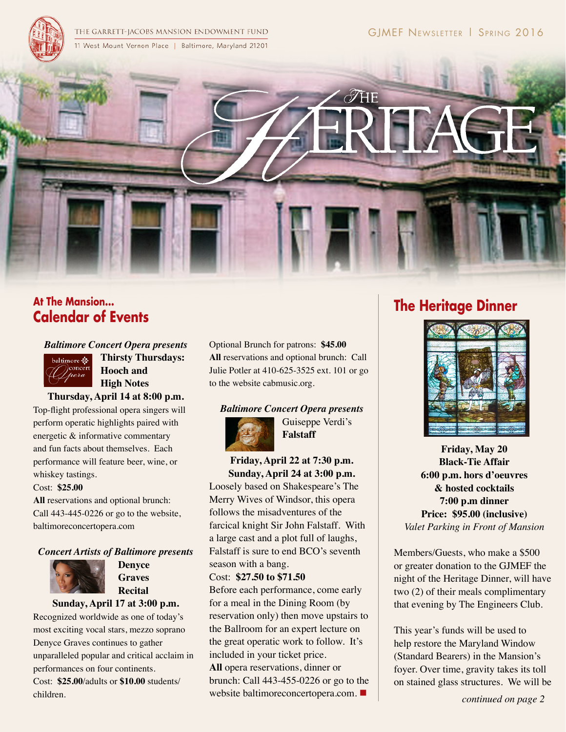

THE GARRETT-JACOBS MANSION ENDOWMENT FUND 11 West Mount Vernon Place | Baltimore, Maryland 21201



# **At The Mansion... Calendar of Events**

*Baltimore Concert Opera presents*



**Thirsty Thursdays: Hooch and High Notes**

**Thursday, April 14 at 8:00 p.m.**

Top-flight professional opera singers will perform operatic highlights paired with energetic & informative commentary and fun facts about themselves. Each performance will feature beer, wine, or whiskey tastings.

#### Cost: **\$25.00**

**All** reservations and optional brunch: Call 443-445-0226 or go to the website, baltimoreconcertopera.com

### *Concert Artists of Baltimore presents*



**Denyce Graves Recital**

#### **Sunday, April 17 at 3:00 p.m.**

Recognized worldwide as one of today's most exciting vocal stars, mezzo soprano Denyce Graves continues to gather unparalleled popular and critical acclaim in performances on four continents. Cost: **\$25.00**/adults or **\$10.00** students/ children.

Optional Brunch for patrons: **\$45.00 All** reservations and optional brunch: Call Julie Potler at 410-625-3525 ext. 101 or go to the website cabmusic.org.

#### *Baltimore Concert Opera presents*



Guiseppe Verdi's **Falstaff**

**Friday, April 22 at 7:30 p.m. Sunday, April 24 at 3:00 p.m.**

Loosely based on Shakespeare's The Merry Wives of Windsor, this opera follows the misadventures of the farcical knight Sir John Falstaff. With a large cast and a plot full of laughs, Falstaff is sure to end BCO's seventh season with a bang.

## Cost: **\$27.50 to \$71.50**

Before each performance, come early for a meal in the Dining Room (by reservation only) then move upstairs to the Ballroom for an expert lecture on the great operatic work to follow. It's included in your ticket price.

**All** opera reservations, dinner or brunch: Call 443-455-0226 or go to the website baltimoreconcertopera.com.  $\blacksquare$ 

# **The Heritage Dinner**



**Friday, May 20 Black-Tie Affair 6:00 p.m. hors d'oeuvres & hosted cocktails 7:00 p.m dinner Price: \$95.00 (inclusive)** *Valet Parking in Front of Mansion*

Members/Guests, who make a \$500 or greater donation to the GJMEF the night of the Heritage Dinner, will have two (2) of their meals complimentary that evening by The Engineers Club.

This year's funds will be used to help restore the Maryland Window (Standard Bearers) in the Mansion's foyer. Over time, gravity takes its toll on stained glass structures. We will be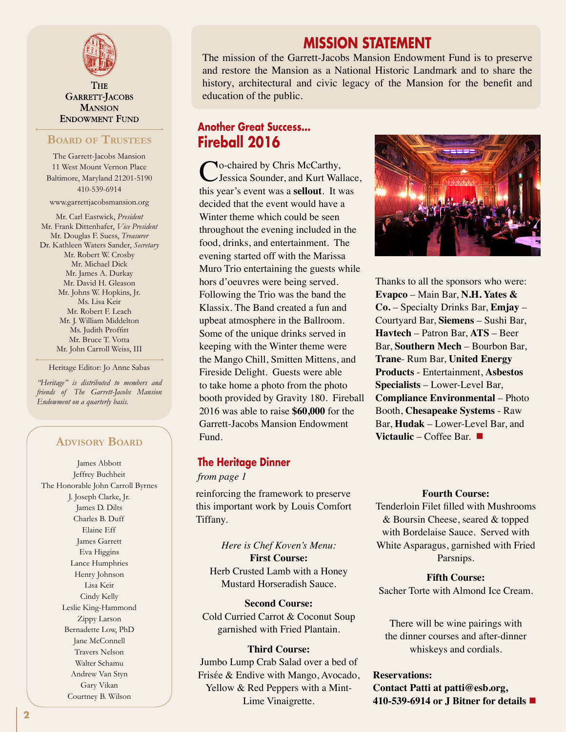

 ${\rm T}_{\rm HF}$ **GARRETT-JACOBS MANSION ENDOWMENT FUND** 

## **Board of Trustees**

The Garrett-Jacobs Mansion 11 West Mount Vernon Place Baltimore, Maryland 21201-5190 410-539-6914

www.garrettjacobsmansion.org

Mr. Carl Eastwick, *President* Mr. Frank Dittenhafer, *Vice President* Mr. Douglas F. Suess, *Treasurer* Dr. Kathleen Waters Sander, *Secretary* Mr. Robert W. Crosby Mr. Michael Dick Mr. James A. Durkay Mr. David H. Gleason Mr. Johns W. Hopkins, Jr. Ms. Lisa Keir Mr. Robert F. Leach Mr. J. William Middelton Ms. Judith Proffitt Mr. Bruce T. Votta Mr. John Carroll Weiss, III

Heritage Editor: Jo Anne Sabas

*"Heritage" is distributed to members and friends of The Garrett-Jacobs Mansion Endowment on a quarterly basis.*

## **Advisory Board**

James Abbott Jeffrey Buchheit The Honorable John Carroll Byrnes J. Joseph Clarke, Jr. James D. Dilts Charles B. Duff Elaine Eff James Garrett Eva Higgins Lance Humphries Henry Johnson Lisa Keir Cindy Kelly Leslie King-Hammond Zippy Larson Bernadette Low, PhD Jane McConnell Travers Nelson Walter Schamu Andrew Van Styn Gary Vikan Courtney B. Wilson

## **MISSION STATEMENT**

The mission of the Garrett-Jacobs Mansion Endowment Fund is to preserve and restore the Mansion as a National Historic Landmark and to share the history, architectural and civic legacy of the Mansion for the benefit and education of the public.

# **Another Great Success... Fireball 2016**

**No-chaired by Chris McCarthy,** Jessica Sounder, and Kurt Wallace, this year's event was a **sellout**. It was decided that the event would have a Winter theme which could be seen throughout the evening included in the food, drinks, and entertainment. The evening started off with the Marissa Muro Trio entertaining the guests while hors d'oeuvres were being served. Following the Trio was the band the Klassix. The Band created a fun and upbeat atmosphere in the Ballroom. Some of the unique drinks served in keeping with the Winter theme were the Mango Chill, Smitten Mittens, and Fireside Delight. Guests were able to take home a photo from the photo booth provided by Gravity 180. Fireball 2016 was able to raise **\$60,000** for the Garrett-Jacobs Mansion Endowment Fund.

## **The Heritage Dinner**

*from page 1*

reinforcing the framework to preserve this important work by Louis Comfort Tiffany.

*Here is Chef Koven's Menu:* **First Course:** Herb Crusted Lamb with a Honey Mustard Horseradish Sauce.

**Second Course:** Cold Curried Carrot & Coconut Soup garnished with Fried Plantain.

#### **Third Course:**

Jumbo Lump Crab Salad over a bed of Frisέe & Endive with Mango, Avocado, Yellow & Red Peppers with a Mint-Lime Vinaigrette.



Thanks to all the sponsors who were: **Evapco** – Main Bar, **N.H. Yates & Co.** – Specialty Drinks Bar, **Emjay** – Courtyard Bar, **Siemens** – Sushi Bar, **Havtech** – Patron Bar, **ATS** – Beer Bar, **Southern Mech** – Bourbon Bar, **Trane**- Rum Bar, **United Energy Products** - Entertainment, **Asbestos Specialists** – Lower-Level Bar, **Compliance Environmental** – Photo Booth, **Chesapeake Systems** - Raw Bar, **Hudak** – Lower-Level Bar, and **Victaulic** – Coffee Bar. ■

#### **Fourth Course:**

Tenderloin Filet filled with Mushrooms & Boursin Cheese, seared & topped with Bordelaise Sauce. Served with White Asparagus, garnished with Fried Parsnips.

## **Fifth Course:**

Sacher Torte with Almond Ice Cream.

There will be wine pairings with the dinner courses and after-dinner whiskeys and cordials.

## **Reservations: Contact Patti at patti@esb.org, 410-539-6914 or J Bitner for details** n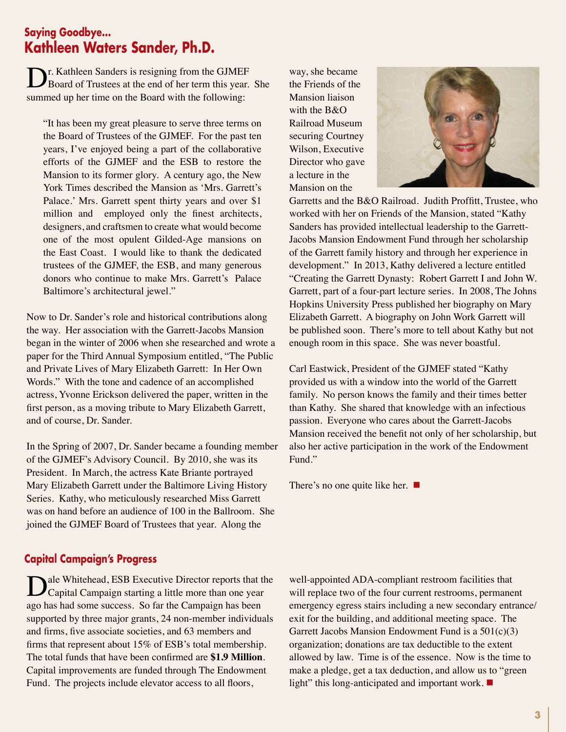# **Saying Goodbye... Kathleen Waters Sander, Ph.D.**

Dr. Kathleen Sanders is resigning from the GJMEF<br>Board of Trustees at the end of her term this year. She summed up her time on the Board with the following:

"It has been my great pleasure to serve three terms on the Board of Trustees of the GJMEF. For the past ten years, I've enjoyed being a part of the collaborative efforts of the GJMEF and the ESB to restore the Mansion to its former glory. A century ago, the New York Times described the Mansion as 'Mrs. Garrett's Palace.' Mrs. Garrett spent thirty years and over \$1 million and employed only the finest architects, designers, and craftsmen to create what would become one of the most opulent Gilded-Age mansions on the East Coast. I would like to thank the dedicated trustees of the GJMEF, the ESB, and many generous donors who continue to make Mrs. Garrett's Palace Baltimore's architectural jewel."

Now to Dr. Sander's role and historical contributions along the way. Her association with the Garrett-Jacobs Mansion began in the winter of 2006 when she researched and wrote a paper for the Third Annual Symposium entitled, "The Public and Private Lives of Mary Elizabeth Garrett: In Her Own Words." With the tone and cadence of an accomplished actress, Yvonne Erickson delivered the paper, written in the first person, as a moving tribute to Mary Elizabeth Garrett, and of course, Dr. Sander.

In the Spring of 2007, Dr. Sander became a founding member of the GJMEF's Advisory Council. By 2010, she was its President. In March, the actress Kate Briante portrayed Mary Elizabeth Garrett under the Baltimore Living History Series. Kathy, who meticulously researched Miss Garrett was on hand before an audience of 100 in the Ballroom. She joined the GJMEF Board of Trustees that year. Along the

way, she became the Friends of the Mansion liaison with the B&O Railroad Museum securing Courtney Wilson, Executive Director who gave a lecture in the Mansion on the



Garretts and the B&O Railroad. Judith Proffitt, Trustee, who worked with her on Friends of the Mansion, stated "Kathy Sanders has provided intellectual leadership to the Garrett-Jacobs Mansion Endowment Fund through her scholarship of the Garrett family history and through her experience in development." In 2013, Kathy delivered a lecture entitled "Creating the Garrett Dynasty: Robert Garrett I and John W. Garrett, part of a four-part lecture series. In 2008, The Johns Hopkins University Press published her biography on Mary Elizabeth Garrett. A biography on John Work Garrett will be published soon. There's more to tell about Kathy but not enough room in this space. She was never boastful.

Carl Eastwick, President of the GJMEF stated "Kathy provided us with a window into the world of the Garrett family. No person knows the family and their times better than Kathy. She shared that knowledge with an infectious passion. Everyone who cares about the Garrett-Jacobs Mansion received the benefit not only of her scholarship, but also her active participation in the work of the Endowment Fund."

There's no one quite like her.  $\blacksquare$ 

## **Capital Campaign's Progress**

ale Whitehead, ESB Executive Director reports that the Capital Campaign starting a little more than one year ago has had some success. So far the Campaign has been supported by three major grants, 24 non-member individuals and firms, five associate societies, and 63 members and firms that represent about 15% of ESB's total membership. The total funds that have been confirmed are **\$1.9 Million**. Capital improvements are funded through The Endowment Fund. The projects include elevator access to all floors,

well-appointed ADA-compliant restroom facilities that will replace two of the four current restrooms, permanent emergency egress stairs including a new secondary entrance/ exit for the building, and additional meeting space. The Garrett Jacobs Mansion Endowment Fund is a 501(c)(3) organization; donations are tax deductible to the extent allowed by law. Time is of the essence. Now is the time to make a pledge, get a tax deduction, and allow us to "green light" this long-anticipated and important work.  $\blacksquare$